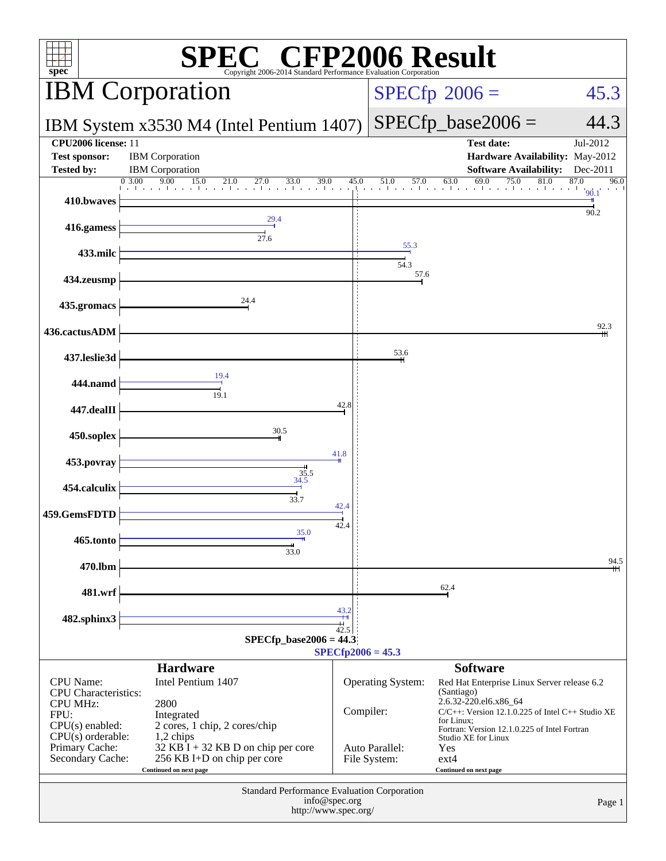| $\mathbb{C}^{\scriptscriptstyle \otimes}$ CFP2006 Result<br>spec <sup>®</sup><br>Copyright 2006-2014 Standard Performance Evaluation Corporation |                                                                                                          |                   |                                |                                                                                                                                                                                                                         |                      |
|--------------------------------------------------------------------------------------------------------------------------------------------------|----------------------------------------------------------------------------------------------------------|-------------------|--------------------------------|-------------------------------------------------------------------------------------------------------------------------------------------------------------------------------------------------------------------------|----------------------|
| <b>IBM</b> Corporation                                                                                                                           |                                                                                                          |                   |                                | $SPECfp^{\circ}2006 =$                                                                                                                                                                                                  | 45.3                 |
| IBM System x3530 M4 (Intel Pentium 1407)                                                                                                         |                                                                                                          |                   |                                | $SPECfp\_base2006 =$                                                                                                                                                                                                    | 44.3                 |
| CPU2006 license: 11<br><b>Test sponsor:</b><br><b>Tested by:</b>                                                                                 | <b>IBM</b> Corporation<br><b>IBM</b> Corporation                                                         |                   |                                | <b>Test date:</b><br>Hardware Availability: May-2012<br><b>Software Availability:</b>                                                                                                                                   | Jul-2012<br>Dec-2011 |
| 410.bwaves                                                                                                                                       | 39.0<br>0 3.00<br>9.00<br>$15.0$ $21.0$ $27.0$<br>33.0                                                   | 45.0<br>ada serie | 51.0<br>57.0<br>and the car    | 69.0<br>75.0<br>81.0<br>63.0<br>and a series that a series that a<br>and the car and the car                                                                                                                            | 87.0<br>96.0<br>90.1 |
| 416.gamess                                                                                                                                       | 29.4                                                                                                     |                   |                                |                                                                                                                                                                                                                         | 90.2                 |
| 433.milc                                                                                                                                         | 27.6                                                                                                     |                   | 55.3<br>54.3                   |                                                                                                                                                                                                                         |                      |
| 434.zeusmp                                                                                                                                       |                                                                                                          |                   | 57.6                           |                                                                                                                                                                                                                         |                      |
| 435.gromacs                                                                                                                                      | 24.4                                                                                                     |                   |                                |                                                                                                                                                                                                                         |                      |
| 436.cactusADM                                                                                                                                    |                                                                                                          |                   |                                |                                                                                                                                                                                                                         | 92.3                 |
| 437.leslie3d                                                                                                                                     | 19.4                                                                                                     |                   | 53.6                           |                                                                                                                                                                                                                         |                      |
| 444.namd                                                                                                                                         | 19.1                                                                                                     |                   |                                |                                                                                                                                                                                                                         |                      |
| 447.dealII                                                                                                                                       |                                                                                                          | 42.8              |                                |                                                                                                                                                                                                                         |                      |
| 450.soplex                                                                                                                                       | 30.5                                                                                                     | 41.8              |                                |                                                                                                                                                                                                                         |                      |
| 453.povray                                                                                                                                       | $3\frac{35.5}{34.5}$                                                                                     |                   |                                |                                                                                                                                                                                                                         |                      |
| 454.calculix                                                                                                                                     | 33.7                                                                                                     | 42.4              |                                |                                                                                                                                                                                                                         |                      |
| 459.GemsFDTD<br>465.tonto                                                                                                                        | 35.0                                                                                                     | 42.4              |                                |                                                                                                                                                                                                                         |                      |
| 470.lbm                                                                                                                                          | 33.0                                                                                                     |                   |                                |                                                                                                                                                                                                                         | 94.5                 |
| 481.wrf                                                                                                                                          |                                                                                                          |                   |                                | 62.4                                                                                                                                                                                                                    |                      |
| 482.sphinx3                                                                                                                                      |                                                                                                          | 43.2              |                                |                                                                                                                                                                                                                         |                      |
|                                                                                                                                                  | $SPECfp\_base2006 = 44.3$                                                                                | $\frac{1}{42.5}$  | $SPECfp2006 = 45.3$            |                                                                                                                                                                                                                         |                      |
| CPU Name:<br><b>CPU</b> Characteristics:<br><b>CPU MHz:</b><br>FPU:<br>$CPU(s)$ enabled:                                                         | <b>Hardware</b><br>Intel Pentium 1407<br>2800<br>Integrated<br>2 cores, 1 chip, 2 cores/chip             | Compiler:         | Operating System:              | <b>Software</b><br>Red Hat Enterprise Linux Server release 6.2<br>(Santiago)<br>2.6.32-220.el6.x86_64<br>C/C++: Version 12.1.0.225 of Intel C++ Studio XE<br>for Linux;<br>Fortran: Version 12.1.0.225 of Intel Fortran |                      |
| $CPU(s)$ orderable:<br>Primary Cache:<br>Secondary Cache:                                                                                        | 1,2 chips<br>32 KB I + 32 KB D on chip per core<br>256 KB I+D on chip per core<br>Continued on next page |                   | Auto Parallel:<br>File System: | Studio XE for Linux<br>Yes<br>$ext{4}$<br>Continued on next page                                                                                                                                                        |                      |
| Standard Performance Evaluation Corporation<br>info@spec.org<br>Page 1<br>http://www.spec.org/                                                   |                                                                                                          |                   |                                |                                                                                                                                                                                                                         |                      |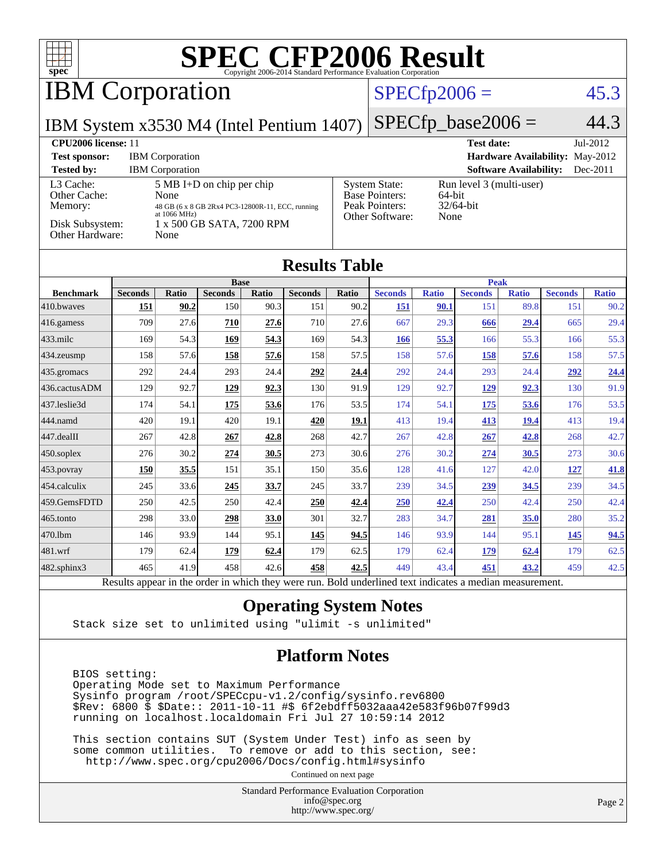

Results appear in the [order in which they were run.](http://www.spec.org/auto/cpu2006/Docs/result-fields.html#RunOrder) Bold underlined text [indicates a median measurement.](http://www.spec.org/auto/cpu2006/Docs/result-fields.html#Median)

#### **[Operating System Notes](http://www.spec.org/auto/cpu2006/Docs/result-fields.html#OperatingSystemNotes)**

Stack size set to unlimited using "ulimit -s unlimited"

#### **[Platform Notes](http://www.spec.org/auto/cpu2006/Docs/result-fields.html#PlatformNotes)**

 BIOS setting: Operating Mode set to Maximum Performance Sysinfo program /root/SPECcpu-v1.2/config/sysinfo.rev6800 \$Rev: 6800 \$ \$Date:: 2011-10-11 #\$ 6f2ebdff5032aaa42e583f96b07f99d3 running on localhost.localdomain Fri Jul 27 10:59:14 2012

 This section contains SUT (System Under Test) info as seen by some common utilities. To remove or add to this section, see: <http://www.spec.org/cpu2006/Docs/config.html#sysinfo>

Continued on next page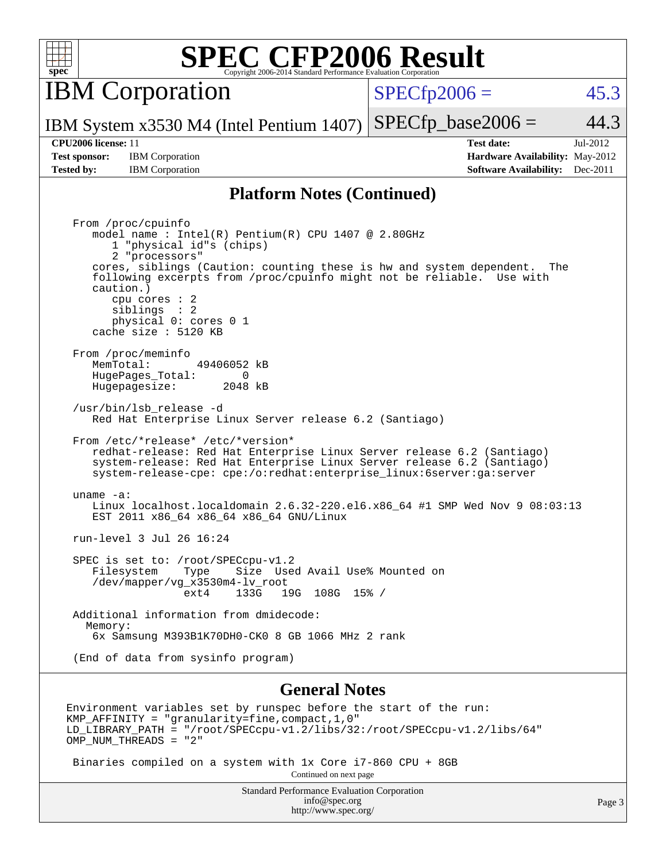| ¢<br>Ņ, | ċ | г |  |
|---------|---|---|--|

IBM Corporation

 $SPECfp2006 = 45.3$  $SPECfp2006 = 45.3$ 

IBM System x3530 M4 (Intel Pentium 1407)  $SPECTp\_base2006 = 44.3$ 

**[Test sponsor:](http://www.spec.org/auto/cpu2006/Docs/result-fields.html#Testsponsor)** IBM Corporation **[Hardware Availability:](http://www.spec.org/auto/cpu2006/Docs/result-fields.html#HardwareAvailability)** May-2012 **[Tested by:](http://www.spec.org/auto/cpu2006/Docs/result-fields.html#Testedby)** IBM Corporation **[Software Availability:](http://www.spec.org/auto/cpu2006/Docs/result-fields.html#SoftwareAvailability)** Dec-2011

**[CPU2006 license:](http://www.spec.org/auto/cpu2006/Docs/result-fields.html#CPU2006license)** 11 **[Test date:](http://www.spec.org/auto/cpu2006/Docs/result-fields.html#Testdate)** Jul-2012

#### **[Platform Notes \(Continued\)](http://www.spec.org/auto/cpu2006/Docs/result-fields.html#PlatformNotes)**

 From /proc/cpuinfo model name : Intel(R) Pentium(R) CPU 1407 @ 2.80GHz 1 "physical id"s (chips) 2 "processors" cores, siblings (Caution: counting these is hw and system dependent. The following excerpts from /proc/cpuinfo might not be reliable. Use with caution.) cpu cores : 2 siblings : 2 physical 0: cores 0 1 cache size : 5120 KB From /proc/meminfo<br>MemTotal: 49406052 kB HugePages\_Total: 0<br>Hugepagesize: 2048 kB Hugepagesize: /usr/bin/lsb\_release -d Red Hat Enterprise Linux Server release 6.2 (Santiago) From /etc/\*release\* /etc/\*version\* redhat-release: Red Hat Enterprise Linux Server release 6.2 (Santiago) system-release: Red Hat Enterprise Linux Server release 6.2 (Santiago) system-release-cpe: cpe:/o:redhat:enterprise\_linux:6server:ga:server uname -a: Linux localhost.localdomain 2.6.32-220.el6.x86\_64 #1 SMP Wed Nov 9 08:03:13 EST 2011 x86\_64 x86\_64 x86\_64 GNU/Linux run-level 3 Jul 26 16:24 SPEC is set to: /root/SPECcpu-v1.2<br>Filesystem Type Size Use Type Size Used Avail Use% Mounted on /dev/mapper/vg\_x3530m4-lv\_root ext4 133G 19G 108G 15% / Additional information from dmidecode: Memory: 6x Samsung M393B1K70DH0-CK0 8 GB 1066 MHz 2 rank (End of data from sysinfo program)

#### **[General Notes](http://www.spec.org/auto/cpu2006/Docs/result-fields.html#GeneralNotes)**

Environment variables set by runspec before the start of the run: KMP\_AFFINITY = "granularity=fine,compact,1,0" LD\_LIBRARY\_PATH = "/root/SPECcpu-v1.2/libs/32:/root/SPECcpu-v1.2/libs/64" OMP NUM THREADS = "2"

Binaries compiled on a system with 1x Core i7-860 CPU + 8GB

Continued on next page

Standard Performance Evaluation Corporation [info@spec.org](mailto:info@spec.org) <http://www.spec.org/>

Page 3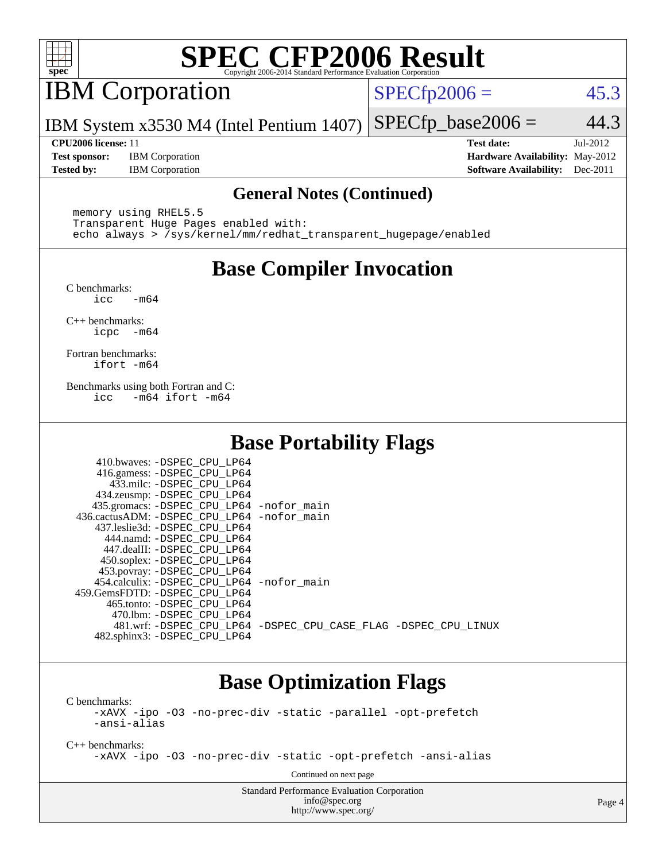

## IBM Corporation

 $SPECTp2006 = 45.3$ 

IBM System x3530 M4 (Intel Pentium 1407)  $SPECfp\_base2006 = 44.3$ 

**[Test sponsor:](http://www.spec.org/auto/cpu2006/Docs/result-fields.html#Testsponsor)** IBM Corporation **[Hardware Availability:](http://www.spec.org/auto/cpu2006/Docs/result-fields.html#HardwareAvailability)** May-2012 **[Tested by:](http://www.spec.org/auto/cpu2006/Docs/result-fields.html#Testedby)** IBM Corporation **[Software Availability:](http://www.spec.org/auto/cpu2006/Docs/result-fields.html#SoftwareAvailability)** Dec-2011

**[CPU2006 license:](http://www.spec.org/auto/cpu2006/Docs/result-fields.html#CPU2006license)** 11 **[Test date:](http://www.spec.org/auto/cpu2006/Docs/result-fields.html#Testdate)** Jul-2012

#### **[General Notes \(Continued\)](http://www.spec.org/auto/cpu2006/Docs/result-fields.html#GeneralNotes)**

 memory using RHEL5.5 Transparent Huge Pages enabled with: echo always > /sys/kernel/mm/redhat\_transparent\_hugepage/enabled

## **[Base Compiler Invocation](http://www.spec.org/auto/cpu2006/Docs/result-fields.html#BaseCompilerInvocation)**

[C benchmarks](http://www.spec.org/auto/cpu2006/Docs/result-fields.html#Cbenchmarks):  $\text{icc}$   $-\text{m64}$ 

[C++ benchmarks:](http://www.spec.org/auto/cpu2006/Docs/result-fields.html#CXXbenchmarks) [icpc -m64](http://www.spec.org/cpu2006/results/res2012q3/cpu2006-20120806-24053.flags.html#user_CXXbase_intel_icpc_64bit_bedb90c1146cab66620883ef4f41a67e)

[Fortran benchmarks](http://www.spec.org/auto/cpu2006/Docs/result-fields.html#Fortranbenchmarks): [ifort -m64](http://www.spec.org/cpu2006/results/res2012q3/cpu2006-20120806-24053.flags.html#user_FCbase_intel_ifort_64bit_ee9d0fb25645d0210d97eb0527dcc06e)

[Benchmarks using both Fortran and C](http://www.spec.org/auto/cpu2006/Docs/result-fields.html#BenchmarksusingbothFortranandC): [icc -m64](http://www.spec.org/cpu2006/results/res2012q3/cpu2006-20120806-24053.flags.html#user_CC_FCbase_intel_icc_64bit_0b7121f5ab7cfabee23d88897260401c) [ifort -m64](http://www.spec.org/cpu2006/results/res2012q3/cpu2006-20120806-24053.flags.html#user_CC_FCbase_intel_ifort_64bit_ee9d0fb25645d0210d97eb0527dcc06e)

## **[Base Portability Flags](http://www.spec.org/auto/cpu2006/Docs/result-fields.html#BasePortabilityFlags)**

| 410.bwaves: -DSPEC CPU LP64                                    |  |
|----------------------------------------------------------------|--|
| 416.gamess: -DSPEC_CPU_LP64                                    |  |
| 433.milc: -DSPEC CPU LP64                                      |  |
| 434.zeusmp: -DSPEC_CPU_LP64                                    |  |
| 435.gromacs: -DSPEC_CPU_LP64 -nofor_main                       |  |
| 436.cactusADM: -DSPEC CPU LP64 -nofor main                     |  |
| 437.leslie3d: -DSPEC CPU LP64                                  |  |
| 444.namd: -DSPEC CPU LP64                                      |  |
| 447.dealII: -DSPEC CPU LP64                                    |  |
| 450.soplex: -DSPEC_CPU_LP64                                    |  |
| 453.povray: -DSPEC_CPU_LP64                                    |  |
| 454.calculix: - DSPEC CPU LP64 - nofor main                    |  |
| 459.GemsFDTD: - DSPEC_CPU LP64                                 |  |
| 465.tonto: - DSPEC CPU LP64                                    |  |
| 470.1bm: -DSPEC CPU LP64                                       |  |
| 481.wrf: -DSPEC_CPU_LP64 -DSPEC_CPU_CASE_FLAG -DSPEC_CPU_LINUX |  |
| 482.sphinx3: -DSPEC_CPU_LP64                                   |  |

### **[Base Optimization Flags](http://www.spec.org/auto/cpu2006/Docs/result-fields.html#BaseOptimizationFlags)**

[C benchmarks](http://www.spec.org/auto/cpu2006/Docs/result-fields.html#Cbenchmarks): [-xAVX](http://www.spec.org/cpu2006/results/res2012q3/cpu2006-20120806-24053.flags.html#user_CCbase_f-xAVX) [-ipo](http://www.spec.org/cpu2006/results/res2012q3/cpu2006-20120806-24053.flags.html#user_CCbase_f-ipo) [-O3](http://www.spec.org/cpu2006/results/res2012q3/cpu2006-20120806-24053.flags.html#user_CCbase_f-O3) [-no-prec-div](http://www.spec.org/cpu2006/results/res2012q3/cpu2006-20120806-24053.flags.html#user_CCbase_f-no-prec-div) [-static](http://www.spec.org/cpu2006/results/res2012q3/cpu2006-20120806-24053.flags.html#user_CCbase_f-static) [-parallel](http://www.spec.org/cpu2006/results/res2012q3/cpu2006-20120806-24053.flags.html#user_CCbase_f-parallel) [-opt-prefetch](http://www.spec.org/cpu2006/results/res2012q3/cpu2006-20120806-24053.flags.html#user_CCbase_f-opt-prefetch) [-ansi-alias](http://www.spec.org/cpu2006/results/res2012q3/cpu2006-20120806-24053.flags.html#user_CCbase_f-ansi-alias)

[C++ benchmarks:](http://www.spec.org/auto/cpu2006/Docs/result-fields.html#CXXbenchmarks)

[-xAVX](http://www.spec.org/cpu2006/results/res2012q3/cpu2006-20120806-24053.flags.html#user_CXXbase_f-xAVX) [-ipo](http://www.spec.org/cpu2006/results/res2012q3/cpu2006-20120806-24053.flags.html#user_CXXbase_f-ipo) [-O3](http://www.spec.org/cpu2006/results/res2012q3/cpu2006-20120806-24053.flags.html#user_CXXbase_f-O3) [-no-prec-div](http://www.spec.org/cpu2006/results/res2012q3/cpu2006-20120806-24053.flags.html#user_CXXbase_f-no-prec-div) [-static](http://www.spec.org/cpu2006/results/res2012q3/cpu2006-20120806-24053.flags.html#user_CXXbase_f-static) [-opt-prefetch](http://www.spec.org/cpu2006/results/res2012q3/cpu2006-20120806-24053.flags.html#user_CXXbase_f-opt-prefetch) [-ansi-alias](http://www.spec.org/cpu2006/results/res2012q3/cpu2006-20120806-24053.flags.html#user_CXXbase_f-ansi-alias)

Continued on next page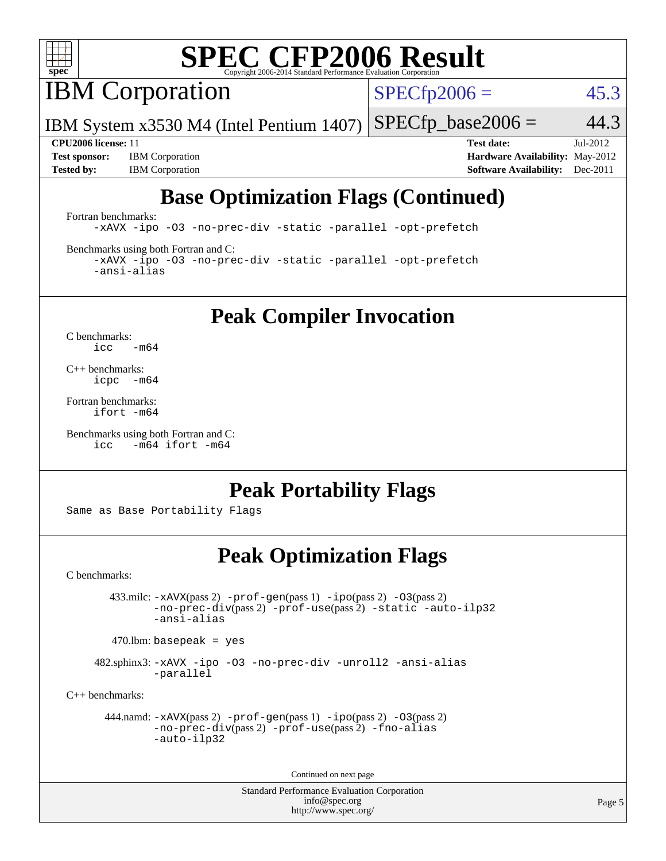

**IBM** Corporation

 $SPECfp2006 = 45.3$  $SPECfp2006 = 45.3$ 

IBM System x3530 M4 (Intel Pentium 1407)  $SPECTp\_base2006 = 44.3$ 

**[Test sponsor:](http://www.spec.org/auto/cpu2006/Docs/result-fields.html#Testsponsor)** IBM Corporation **[Hardware Availability:](http://www.spec.org/auto/cpu2006/Docs/result-fields.html#HardwareAvailability)** May-2012 **[Tested by:](http://www.spec.org/auto/cpu2006/Docs/result-fields.html#Testedby)** IBM Corporation **[Software Availability:](http://www.spec.org/auto/cpu2006/Docs/result-fields.html#SoftwareAvailability)** Dec-2011

**[CPU2006 license:](http://www.spec.org/auto/cpu2006/Docs/result-fields.html#CPU2006license)** 11 **[Test date:](http://www.spec.org/auto/cpu2006/Docs/result-fields.html#Testdate)** Jul-2012

## **[Base Optimization Flags \(Continued\)](http://www.spec.org/auto/cpu2006/Docs/result-fields.html#BaseOptimizationFlags)**

[Fortran benchmarks](http://www.spec.org/auto/cpu2006/Docs/result-fields.html#Fortranbenchmarks):

[-xAVX](http://www.spec.org/cpu2006/results/res2012q3/cpu2006-20120806-24053.flags.html#user_FCbase_f-xAVX) [-ipo](http://www.spec.org/cpu2006/results/res2012q3/cpu2006-20120806-24053.flags.html#user_FCbase_f-ipo) [-O3](http://www.spec.org/cpu2006/results/res2012q3/cpu2006-20120806-24053.flags.html#user_FCbase_f-O3) [-no-prec-div](http://www.spec.org/cpu2006/results/res2012q3/cpu2006-20120806-24053.flags.html#user_FCbase_f-no-prec-div) [-static](http://www.spec.org/cpu2006/results/res2012q3/cpu2006-20120806-24053.flags.html#user_FCbase_f-static) [-parallel](http://www.spec.org/cpu2006/results/res2012q3/cpu2006-20120806-24053.flags.html#user_FCbase_f-parallel) [-opt-prefetch](http://www.spec.org/cpu2006/results/res2012q3/cpu2006-20120806-24053.flags.html#user_FCbase_f-opt-prefetch)

[Benchmarks using both Fortran and C](http://www.spec.org/auto/cpu2006/Docs/result-fields.html#BenchmarksusingbothFortranandC):

[-xAVX](http://www.spec.org/cpu2006/results/res2012q3/cpu2006-20120806-24053.flags.html#user_CC_FCbase_f-xAVX) [-ipo](http://www.spec.org/cpu2006/results/res2012q3/cpu2006-20120806-24053.flags.html#user_CC_FCbase_f-ipo) [-O3](http://www.spec.org/cpu2006/results/res2012q3/cpu2006-20120806-24053.flags.html#user_CC_FCbase_f-O3) [-no-prec-div](http://www.spec.org/cpu2006/results/res2012q3/cpu2006-20120806-24053.flags.html#user_CC_FCbase_f-no-prec-div) [-static](http://www.spec.org/cpu2006/results/res2012q3/cpu2006-20120806-24053.flags.html#user_CC_FCbase_f-static) [-parallel](http://www.spec.org/cpu2006/results/res2012q3/cpu2006-20120806-24053.flags.html#user_CC_FCbase_f-parallel) [-opt-prefetch](http://www.spec.org/cpu2006/results/res2012q3/cpu2006-20120806-24053.flags.html#user_CC_FCbase_f-opt-prefetch) [-ansi-alias](http://www.spec.org/cpu2006/results/res2012q3/cpu2006-20120806-24053.flags.html#user_CC_FCbase_f-ansi-alias)

**[Peak Compiler Invocation](http://www.spec.org/auto/cpu2006/Docs/result-fields.html#PeakCompilerInvocation)**

[C benchmarks](http://www.spec.org/auto/cpu2006/Docs/result-fields.html#Cbenchmarks):  $\text{icc}$  -m64

[C++ benchmarks:](http://www.spec.org/auto/cpu2006/Docs/result-fields.html#CXXbenchmarks) [icpc -m64](http://www.spec.org/cpu2006/results/res2012q3/cpu2006-20120806-24053.flags.html#user_CXXpeak_intel_icpc_64bit_bedb90c1146cab66620883ef4f41a67e)

[Fortran benchmarks](http://www.spec.org/auto/cpu2006/Docs/result-fields.html#Fortranbenchmarks): [ifort -m64](http://www.spec.org/cpu2006/results/res2012q3/cpu2006-20120806-24053.flags.html#user_FCpeak_intel_ifort_64bit_ee9d0fb25645d0210d97eb0527dcc06e)

[Benchmarks using both Fortran and C](http://www.spec.org/auto/cpu2006/Docs/result-fields.html#BenchmarksusingbothFortranandC): [icc -m64](http://www.spec.org/cpu2006/results/res2012q3/cpu2006-20120806-24053.flags.html#user_CC_FCpeak_intel_icc_64bit_0b7121f5ab7cfabee23d88897260401c) [ifort -m64](http://www.spec.org/cpu2006/results/res2012q3/cpu2006-20120806-24053.flags.html#user_CC_FCpeak_intel_ifort_64bit_ee9d0fb25645d0210d97eb0527dcc06e)

### **[Peak Portability Flags](http://www.spec.org/auto/cpu2006/Docs/result-fields.html#PeakPortabilityFlags)**

Same as Base Portability Flags

### **[Peak Optimization Flags](http://www.spec.org/auto/cpu2006/Docs/result-fields.html#PeakOptimizationFlags)**

[C benchmarks](http://www.spec.org/auto/cpu2006/Docs/result-fields.html#Cbenchmarks):

 433.milc: [-xAVX](http://www.spec.org/cpu2006/results/res2012q3/cpu2006-20120806-24053.flags.html#user_peakPASS2_CFLAGSPASS2_LDFLAGS433_milc_f-xAVX)(pass 2) [-prof-gen](http://www.spec.org/cpu2006/results/res2012q3/cpu2006-20120806-24053.flags.html#user_peakPASS1_CFLAGSPASS1_LDFLAGS433_milc_prof_gen_e43856698f6ca7b7e442dfd80e94a8fc)(pass 1) [-ipo](http://www.spec.org/cpu2006/results/res2012q3/cpu2006-20120806-24053.flags.html#user_peakPASS2_CFLAGSPASS2_LDFLAGS433_milc_f-ipo)(pass 2) [-O3](http://www.spec.org/cpu2006/results/res2012q3/cpu2006-20120806-24053.flags.html#user_peakPASS2_CFLAGSPASS2_LDFLAGS433_milc_f-O3)(pass 2) [-no-prec-div](http://www.spec.org/cpu2006/results/res2012q3/cpu2006-20120806-24053.flags.html#user_peakPASS2_CFLAGSPASS2_LDFLAGS433_milc_f-no-prec-div)(pass 2) [-prof-use](http://www.spec.org/cpu2006/results/res2012q3/cpu2006-20120806-24053.flags.html#user_peakPASS2_CFLAGSPASS2_LDFLAGS433_milc_prof_use_bccf7792157ff70d64e32fe3e1250b55)(pass 2) [-static](http://www.spec.org/cpu2006/results/res2012q3/cpu2006-20120806-24053.flags.html#user_peakOPTIMIZE433_milc_f-static) [-auto-ilp32](http://www.spec.org/cpu2006/results/res2012q3/cpu2006-20120806-24053.flags.html#user_peakCOPTIMIZE433_milc_f-auto-ilp32) [-ansi-alias](http://www.spec.org/cpu2006/results/res2012q3/cpu2006-20120806-24053.flags.html#user_peakCOPTIMIZE433_milc_f-ansi-alias)

 $470.$ lbm: basepeak = yes

 482.sphinx3: [-xAVX](http://www.spec.org/cpu2006/results/res2012q3/cpu2006-20120806-24053.flags.html#user_peakOPTIMIZE482_sphinx3_f-xAVX) [-ipo](http://www.spec.org/cpu2006/results/res2012q3/cpu2006-20120806-24053.flags.html#user_peakOPTIMIZE482_sphinx3_f-ipo) [-O3](http://www.spec.org/cpu2006/results/res2012q3/cpu2006-20120806-24053.flags.html#user_peakOPTIMIZE482_sphinx3_f-O3) [-no-prec-div](http://www.spec.org/cpu2006/results/res2012q3/cpu2006-20120806-24053.flags.html#user_peakOPTIMIZE482_sphinx3_f-no-prec-div) [-unroll2](http://www.spec.org/cpu2006/results/res2012q3/cpu2006-20120806-24053.flags.html#user_peakCOPTIMIZE482_sphinx3_f-unroll_784dae83bebfb236979b41d2422d7ec2) [-ansi-alias](http://www.spec.org/cpu2006/results/res2012q3/cpu2006-20120806-24053.flags.html#user_peakCOPTIMIZE482_sphinx3_f-ansi-alias) [-parallel](http://www.spec.org/cpu2006/results/res2012q3/cpu2006-20120806-24053.flags.html#user_peakCOPTIMIZE482_sphinx3_f-parallel)

[C++ benchmarks:](http://www.spec.org/auto/cpu2006/Docs/result-fields.html#CXXbenchmarks)

```
 444.namd: -xAVX(pass 2) -prof-gen(pass 1) -ipo(pass 2) -O3(pass 2)
         -no-prec-div(pass 2) -prof-use(pass 2) -fno-alias
         -auto-ilp32
```
Continued on next page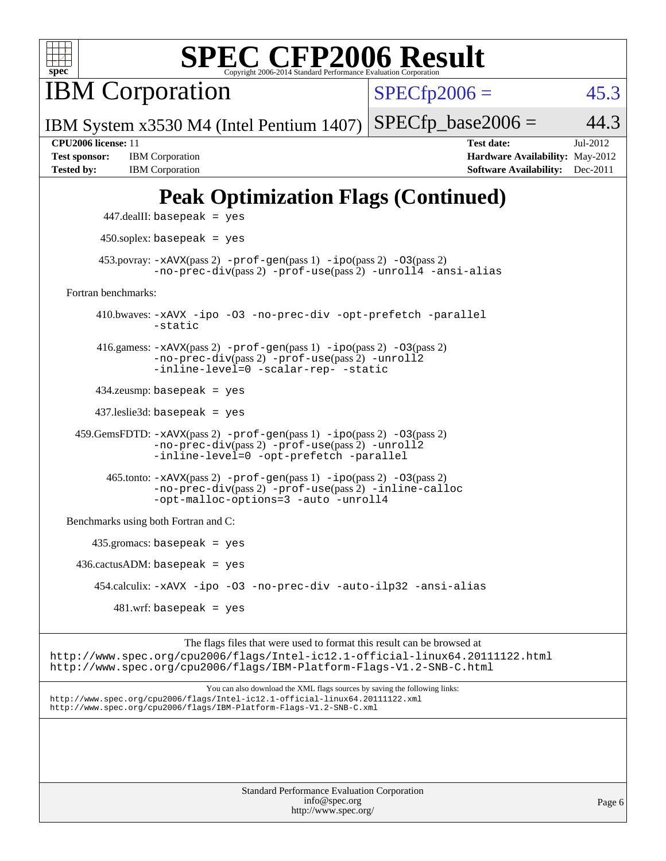

IBM Corporation

 $SPECTp2006 = 45.3$ 

IBM System x3530 M4 (Intel Pentium 1407)  $SPECTp\_base2006 = 44.3$ 

**[Test sponsor:](http://www.spec.org/auto/cpu2006/Docs/result-fields.html#Testsponsor)** IBM Corporation **[Hardware Availability:](http://www.spec.org/auto/cpu2006/Docs/result-fields.html#HardwareAvailability)** May-2012 **[Tested by:](http://www.spec.org/auto/cpu2006/Docs/result-fields.html#Testedby)** IBM Corporation **[Software Availability:](http://www.spec.org/auto/cpu2006/Docs/result-fields.html#SoftwareAvailability)** Dec-2011

**[CPU2006 license:](http://www.spec.org/auto/cpu2006/Docs/result-fields.html#CPU2006license)** 11 **[Test date:](http://www.spec.org/auto/cpu2006/Docs/result-fields.html#Testdate)** Jul-2012

## **[Peak Optimization Flags \(Continued\)](http://www.spec.org/auto/cpu2006/Docs/result-fields.html#PeakOptimizationFlags)**

```
 447.dealII: basepeak = yes
       450.soplex: basepeak = yes
     453.povray: -xAVX(pass 2) -prof-gen(pass 1) -ipo(pass 2) -03(pass 2)
               -no-prec-div(pass 2) -prof-use(pass 2) -unroll4 -ansi-alias
Fortran benchmarks: 
      410.bwaves: -xAVX -ipo -O3 -no-prec-div -opt-prefetch -parallel
               -static
      416.gamess: -xAVX(pass 2) -prof-gen(pass 1) -ipo(pass 2) -O3(pass 2)
               -no-prec-div(pass 2) -prof-use(pass 2) -unroll2
               -inline-level=0 -scalar-rep- -static
      434.zeusmp: basepeak = yes
      437.leslie3d: basepeak = yes
  459.GemsFDTD: -xAVX(pass 2) -prof-gen(pass 1) -ipo(pass 2) -O3(pass 2)
               -no-prec-div(pass 2) -prof-use(pass 2) -unroll2
               -inline-level=0 -opt-prefetch -parallel
        465.tonto: -xAVX(pass 2) -prof-gen(pass 1) -ipo(pass 2) -O3(pass 2)
               -no-prec-div(pass 2) -prof-use(pass 2) -inline-calloc
               -opt-malloc-options=3-auto-unroll4
Benchmarks using both Fortran and C: 
     435.gromacs: basepeak = yes
 436.cactusADM:basepeak = yes 454.calculix: -xAVX -ipo -O3 -no-prec-div -auto-ilp32 -ansi-alias
        481 \text{.m}: basepeak = yes
```
The flags files that were used to format this result can be browsed at <http://www.spec.org/cpu2006/flags/Intel-ic12.1-official-linux64.20111122.html> <http://www.spec.org/cpu2006/flags/IBM-Platform-Flags-V1.2-SNB-C.html>

You can also download the XML flags sources by saving the following links: <http://www.spec.org/cpu2006/flags/Intel-ic12.1-official-linux64.20111122.xml> <http://www.spec.org/cpu2006/flags/IBM-Platform-Flags-V1.2-SNB-C.xml>